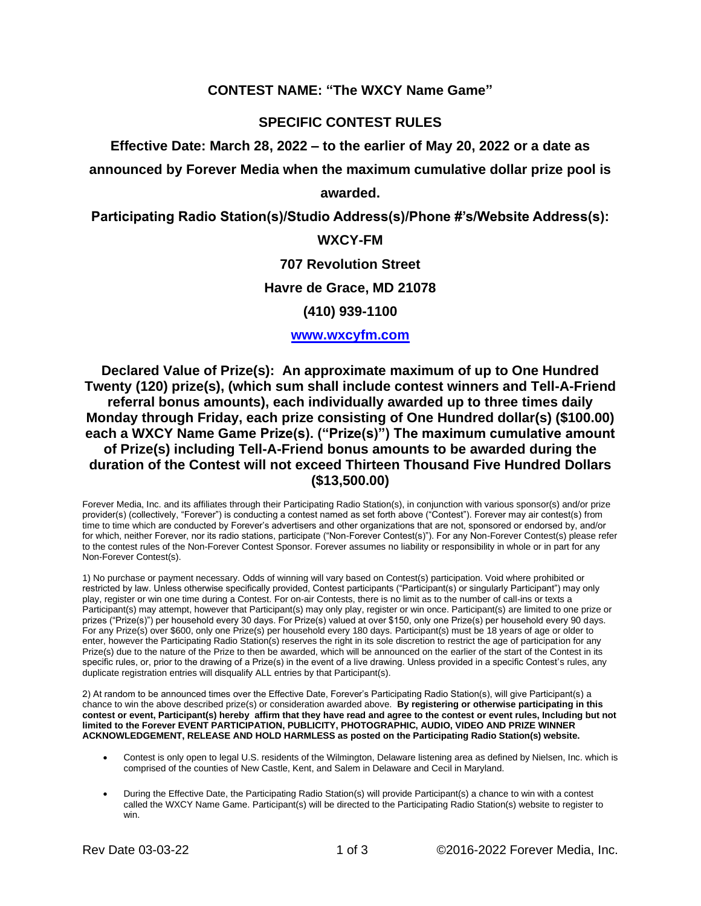## **CONTEST NAME: "The WXCY Name Game"**

# **SPECIFIC CONTEST RULES**

**Effective Date: March 28, 2022 – to the earlier of May 20, 2022 or a date as** 

**announced by Forever Media when the maximum cumulative dollar prize pool is** 

### **awarded.**

**Participating Radio Station(s)/Studio Address(s)/Phone #'s/Website Address(s):**

# **WXCY-FM**

#### **707 Revolution Street**

## **Havre de Grace, MD 21078**

## **(410) 939-1100**

### **[www.wxcyfm.com](http://www.wxcyfm.com/)**

**Declared Value of Prize(s): An approximate maximum of up to One Hundred Twenty (120) prize(s), (which sum shall include contest winners and Tell-A-Friend referral bonus amounts), each individually awarded up to three times daily Monday through Friday, each prize consisting of One Hundred dollar(s) (\$100.00) each a WXCY Name Game Prize(s). ("Prize(s)") The maximum cumulative amount of Prize(s) including Tell-A-Friend bonus amounts to be awarded during the duration of the Contest will not exceed Thirteen Thousand Five Hundred Dollars (\$13,500.00)** 

Forever Media, Inc. and its affiliates through their Participating Radio Station(s), in conjunction with various sponsor(s) and/or prize provider(s) (collectively, "Forever") is conducting a contest named as set forth above ("Contest"). Forever may air contest(s) from time to time which are conducted by Forever's advertisers and other organizations that are not, sponsored or endorsed by, and/or for which, neither Forever, nor its radio stations, participate ("Non-Forever Contest(s)"). For any Non-Forever Contest(s) please refer to the contest rules of the Non-Forever Contest Sponsor. Forever assumes no liability or responsibility in whole or in part for any Non-Forever Contest(s).

1) No purchase or payment necessary. Odds of winning will vary based on Contest(s) participation. Void where prohibited or restricted by law. Unless otherwise specifically provided, Contest participants ("Participant(s) or singularly Participant") may only play, register or win one time during a Contest. For on-air Contests, there is no limit as to the number of call-ins or texts a Participant(s) may attempt, however that Participant(s) may only play, register or win once. Participant(s) are limited to one prize or prizes ("Prize(s)") per household every 30 days. For Prize(s) valued at over \$150, only one Prize(s) per household every 90 days. For any Prize(s) over \$600, only one Prize(s) per household every 180 days. Participant(s) must be 18 years of age or older to enter, however the Participating Radio Station(s) reserves the right in its sole discretion to restrict the age of participation for any Prize(s) due to the nature of the Prize to then be awarded, which will be announced on the earlier of the start of the Contest in its specific rules, or, prior to the drawing of a Prize(s) in the event of a live drawing. Unless provided in a specific Contest's rules, any duplicate registration entries will disqualify ALL entries by that Participant(s).

2) At random to be announced times over the Effective Date, Forever's Participating Radio Station(s), will give Participant(s) a chance to win the above described prize(s) or consideration awarded above. **By registering or otherwise participating in this contest or event, Participant(s) hereby affirm that they have read and agree to the contest or event rules, Including but not limited to the Forever EVENT PARTICIPATION, PUBLICITY, PHOTOGRAPHIC, AUDIO, VIDEO AND PRIZE WINNER ACKNOWLEDGEMENT, RELEASE AND HOLD HARMLESS as posted on the Participating Radio Station(s) website.**

- Contest is only open to legal U.S. residents of the Wilmington, Delaware listening area as defined by Nielsen, Inc. which is comprised of the counties of New Castle, Kent, and Salem in Delaware and Cecil in Maryland.
- During the Effective Date, the Participating Radio Station(s) will provide Participant(s) a chance to win with a contest called the WXCY Name Game. Participant(s) will be directed to the Participating Radio Station(s) website to register to win.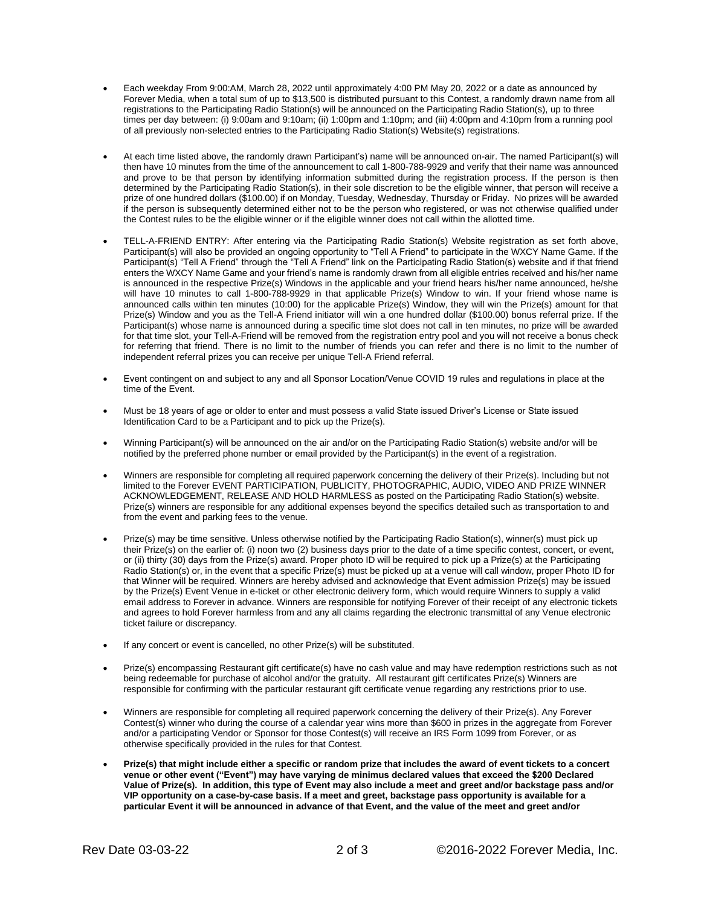- Each weekday From 9:00:AM, March 28, 2022 until approximately 4:00 PM May 20, 2022 or a date as announced by Forever Media, when a total sum of up to \$13,500 is distributed pursuant to this Contest, a randomly drawn name from all registrations to the Participating Radio Station(s) will be announced on the Participating Radio Station(s), up to three times per day between: (i) 9:00am and 9:10am; (ii) 1:00pm and 1:10pm; and (iii) 4:00pm and 4:10pm from a running pool of all previously non-selected entries to the Participating Radio Station(s) Website(s) registrations.
- At each time listed above, the randomly drawn Participant's) name will be announced on-air. The named Participant(s) will then have 10 minutes from the time of the announcement to call 1-800-788-9929 and verify that their name was announced and prove to be that person by identifying information submitted during the registration process. If the person is then determined by the Participating Radio Station(s), in their sole discretion to be the eligible winner, that person will receive a prize of one hundred dollars (\$100.00) if on Monday, Tuesday, Wednesday, Thursday or Friday. No prizes will be awarded if the person is subsequently determined either not to be the person who registered, or was not otherwise qualified under the Contest rules to be the eligible winner or if the eligible winner does not call within the allotted time.
- TELL-A-FRIEND ENTRY: After entering via the Participating Radio Station(s) Website registration as set forth above, Participant(s) will also be provided an ongoing opportunity to "Tell A Friend" to participate in the WXCY Name Game. If the Participant(s) "Tell A Friend" through the "Tell A Friend" link on the Participating Radio Station(s) website and if that friend enters the WXCY Name Game and your friend's name is randomly drawn from all eligible entries received and his/her name is announced in the respective Prize(s) Windows in the applicable and your friend hears his/her name announced, he/she will have 10 minutes to call 1-800-788-9929 in that applicable Prize(s) Window to win. If your friend whose name is announced calls within ten minutes (10:00) for the applicable Prize(s) Window, they will win the Prize(s) amount for that Prize(s) Window and you as the Tell-A Friend initiator will win a one hundred dollar (\$100.00) bonus referral prize. If the Participant(s) whose name is announced during a specific time slot does not call in ten minutes, no prize will be awarded for that time slot, your Tell-A-Friend will be removed from the registration entry pool and you will not receive a bonus check for referring that friend. There is no limit to the number of friends you can refer and there is no limit to the number of independent referral prizes you can receive per unique Tell-A Friend referral.
- Event contingent on and subject to any and all Sponsor Location/Venue COVID 19 rules and regulations in place at the time of the Event.
- Must be 18 years of age or older to enter and must possess a valid State issued Driver's License or State issued Identification Card to be a Participant and to pick up the Prize(s).
- Winning Participant(s) will be announced on the air and/or on the Participating Radio Station(s) website and/or will be notified by the preferred phone number or email provided by the Participant(s) in the event of a registration.
- Winners are responsible for completing all required paperwork concerning the delivery of their Prize(s). Including but not limited to the Forever EVENT PARTICIPATION, PUBLICITY, PHOTOGRAPHIC, AUDIO, VIDEO AND PRIZE WINNER ACKNOWLEDGEMENT, RELEASE AND HOLD HARMLESS as posted on the Participating Radio Station(s) website. Prize(s) winners are responsible for any additional expenses beyond the specifics detailed such as transportation to and from the event and parking fees to the venue.
- Prize(s) may be time sensitive. Unless otherwise notified by the Participating Radio Station(s), winner(s) must pick up their Prize(s) on the earlier of: (i) noon two (2) business days prior to the date of a time specific contest, concert, or event, or (ii) thirty (30) days from the Prize(s) award. Proper photo ID will be required to pick up a Prize(s) at the Participating Radio Station(s) or, in the event that a specific Prize(s) must be picked up at a venue will call window, proper Photo ID for that Winner will be required. Winners are hereby advised and acknowledge that Event admission Prize(s) may be issued by the Prize(s) Event Venue in e-ticket or other electronic delivery form, which would require Winners to supply a valid email address to Forever in advance. Winners are responsible for notifying Forever of their receipt of any electronic tickets and agrees to hold Forever harmless from and any all claims regarding the electronic transmittal of any Venue electronic ticket failure or discrepancy.
- If any concert or event is cancelled, no other Prize(s) will be substituted.
- Prize(s) encompassing Restaurant gift certificate(s) have no cash value and may have redemption restrictions such as not being redeemable for purchase of alcohol and/or the gratuity. All restaurant gift certificates Prize(s) Winners are responsible for confirming with the particular restaurant gift certificate venue regarding any restrictions prior to use.
- Winners are responsible for completing all required paperwork concerning the delivery of their Prize(s). Any Forever Contest(s) winner who during the course of a calendar year wins more than \$600 in prizes in the aggregate from Forever and/or a participating Vendor or Sponsor for those Contest(s) will receive an IRS Form 1099 from Forever, or as otherwise specifically provided in the rules for that Contest.
- **Prize(s) that might include either a specific or random prize that includes the award of event tickets to a concert venue or other event ("Event") may have varying de minimus declared values that exceed the \$200 Declared Value of Prize(s). In addition, this type of Event may also include a meet and greet and/or backstage pass and/or VIP opportunity on a case-by-case basis. If a meet and greet, backstage pass opportunity is available for a particular Event it will be announced in advance of that Event, and the value of the meet and greet and/or**